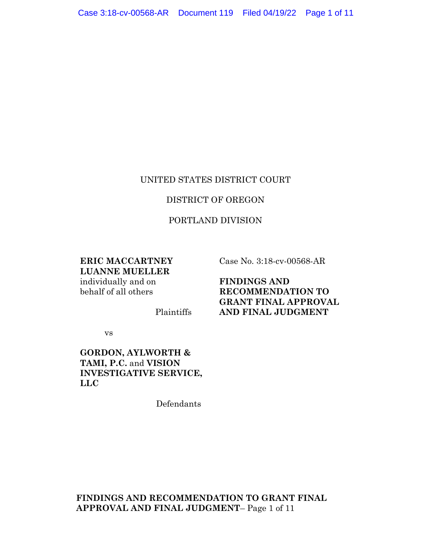#### UNITED STATES DISTRICT COURT

#### DISTRICT OF OREGON

#### PORTLAND DIVISION

# **ERIC MACCARTNEY LUANNE MUELLER**

individually and on behalf of all others

Case No. 3:18-cv-00568-AR

**FINDINGS AND RECOMMENDATION TO GRANT FINAL APPROVAL AND FINAL JUDGMENT** 

vs

### **GORDON, AYLWORTH & TAMI, P.C.** and **VISION INVESTIGATIVE SERVICE, LLC**

Defendants

Plaintiffs

**FINDINGS AND RECOMMENDATION TO GRANT FINAL APPROVAL AND FINAL JUDGMENT**– Page 1 of 11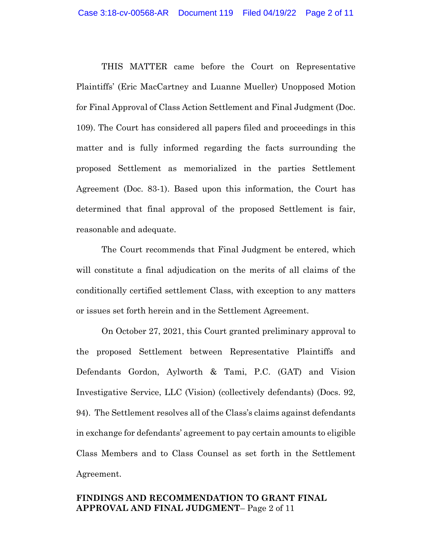THIS MATTER came before the Court on Representative Plaintiffs' (Eric MacCartney and Luanne Mueller) Unopposed Motion for Final Approval of Class Action Settlement and Final Judgment (Doc. 109). The Court has considered all papers filed and proceedings in this matter and is fully informed regarding the facts surrounding the proposed Settlement as memorialized in the parties Settlement Agreement (Doc. 83-1). Based upon this information, the Court has determined that final approval of the proposed Settlement is fair, reasonable and adequate.

The Court recommends that Final Judgment be entered, which will constitute a final adjudication on the merits of all claims of the conditionally certified settlement Class, with exception to any matters or issues set forth herein and in the Settlement Agreement.

On October 27, 2021, this Court granted preliminary approval to the proposed Settlement between Representative Plaintiffs and Defendants Gordon, Aylworth & Tami, P.C. (GAT) and Vision Investigative Service, LLC (Vision) (collectively defendants) (Docs. 92, 94). The Settlement resolves all of the Class's claims against defendants in exchange for defendants' agreement to pay certain amounts to eligible Class Members and to Class Counsel as set forth in the Settlement Agreement.

#### **FINDINGS AND RECOMMENDATION TO GRANT FINAL APPROVAL AND FINAL JUDGMENT**– Page 2 of 11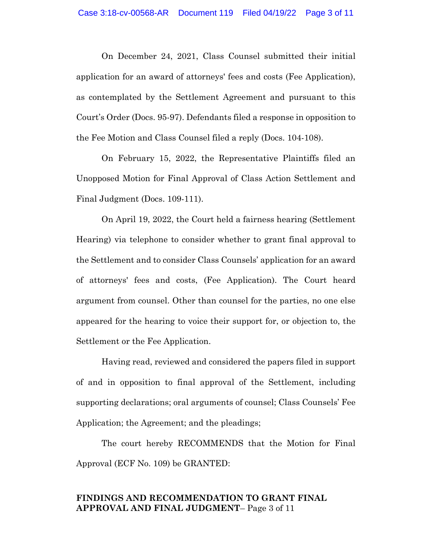On December 24, 2021, Class Counsel submitted their initial application for an award of attorneys' fees and costs (Fee Application), as contemplated by the Settlement Agreement and pursuant to this Court's Order (Docs. 95-97). Defendants filed a response in opposition to the Fee Motion and Class Counsel filed a reply (Docs. 104-108).

On February 15, 2022, the Representative Plaintiffs filed an Unopposed Motion for Final Approval of Class Action Settlement and Final Judgment (Docs. 109-111).

On April 19, 2022, the Court held a fairness hearing (Settlement Hearing) via telephone to consider whether to grant final approval to the Settlement and to consider Class Counsels' application for an award of attorneys' fees and costs, (Fee Application). The Court heard argument from counsel. Other than counsel for the parties, no one else appeared for the hearing to voice their support for, or objection to, the Settlement or the Fee Application.

Having read, reviewed and considered the papers filed in support of and in opposition to final approval of the Settlement, including supporting declarations; oral arguments of counsel; Class Counsels' Fee Application; the Agreement; and the pleadings;

The court hereby RECOMMENDS that the Motion for Final Approval (ECF No. 109) be GRANTED:

### **FINDINGS AND RECOMMENDATION TO GRANT FINAL APPROVAL AND FINAL JUDGMENT**– Page 3 of 11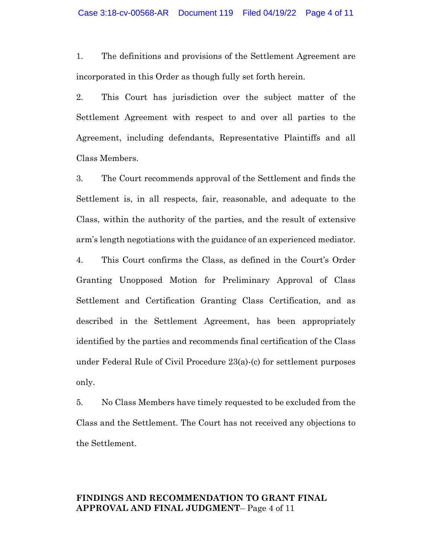1. The definitions and provisions of the Settlement Agreement are incorporated in this Order as though fully set forth herein.

2. This Court has jurisdiction over the subject matter of the Settlement Agreement with respect to and over all parties to the Agreement, including defendants, Representative Plaintiffs and all Class Members.

3. The Court recommends approval of the Settlement and finds the Settlement is, in all respects, fair, reasonable, and adequate to the Class, within the authority of the parties, and the result of extensive arm's length negotiations with the guidance of an experienced mediator.

4. This Court confirms the Class, as defined in the Court's Order Granting Unopposed Motion for Preliminary Approval of Class Settlement and Certification Granting Class Certification, and as described in the Settlement Agreement, has been appropriately identified by the parties and recommends final certification of the Class under Federal Rule of Civil Procedure 23(a)-(c) for settlement purposes only.

5. No Class Members have timely requested to be excluded from the Class and the Settlement. The Court has not received any objections to the Settlement.

# **FINDINGS AND RECOMMENDATION TO GRANT FINAL APPROVAL AND FINAL JUDGMENT**– Page 4 of 11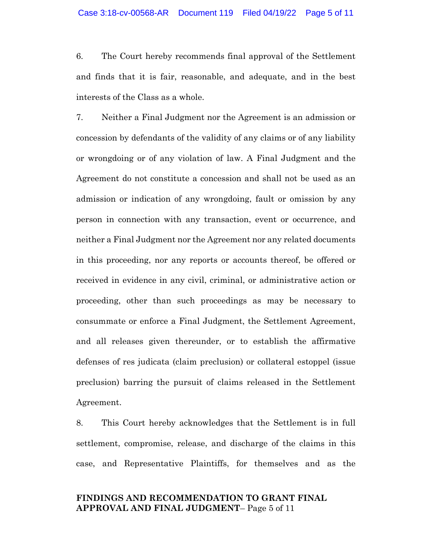6. The Court hereby recommends final approval of the Settlement and finds that it is fair, reasonable, and adequate, and in the best interests of the Class as a whole.

7. Neither a Final Judgment nor the Agreement is an admission or concession by defendants of the validity of any claims or of any liability or wrongdoing or of any violation of law. A Final Judgment and the Agreement do not constitute a concession and shall not be used as an admission or indication of any wrongdoing, fault or omission by any person in connection with any transaction, event or occurrence, and neither a Final Judgment nor the Agreement nor any related documents in this proceeding, nor any reports or accounts thereof, be offered or received in evidence in any civil, criminal, or administrative action or proceeding, other than such proceedings as may be necessary to consummate or enforce a Final Judgment, the Settlement Agreement, and all releases given thereunder, or to establish the affirmative defenses of res judicata (claim preclusion) or collateral estoppel (issue preclusion) barring the pursuit of claims released in the Settlement Agreement.

8. This Court hereby acknowledges that the Settlement is in full settlement, compromise, release, and discharge of the claims in this case, and Representative Plaintiffs, for themselves and as the

### **FINDINGS AND RECOMMENDATION TO GRANT FINAL APPROVAL AND FINAL JUDGMENT**– Page 5 of 11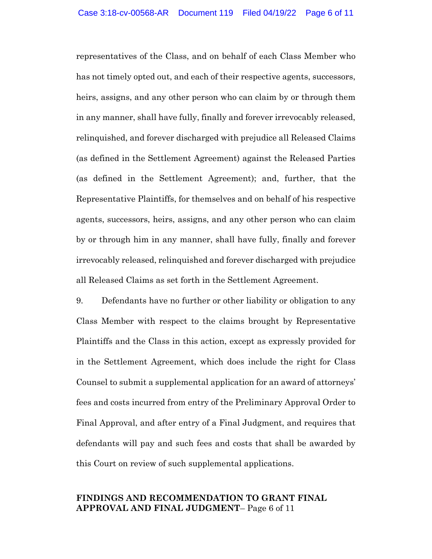representatives of the Class, and on behalf of each Class Member who has not timely opted out, and each of their respective agents, successors, heirs, assigns, and any other person who can claim by or through them in any manner, shall have fully, finally and forever irrevocably released, relinquished, and forever discharged with prejudice all Released Claims (as defined in the Settlement Agreement) against the Released Parties (as defined in the Settlement Agreement); and, further, that the Representative Plaintiffs, for themselves and on behalf of his respective agents, successors, heirs, assigns, and any other person who can claim by or through him in any manner, shall have fully, finally and forever irrevocably released, relinquished and forever discharged with prejudice all Released Claims as set forth in the Settlement Agreement.

9. Defendants have no further or other liability or obligation to any Class Member with respect to the claims brought by Representative Plaintiffs and the Class in this action, except as expressly provided for in the Settlement Agreement, which does include the right for Class Counsel to submit a supplemental application for an award of attorneys' fees and costs incurred from entry of the Preliminary Approval Order to Final Approval, and after entry of a Final Judgment, and requires that defendants will pay and such fees and costs that shall be awarded by this Court on review of such supplemental applications.

### **FINDINGS AND RECOMMENDATION TO GRANT FINAL APPROVAL AND FINAL JUDGMENT**– Page 6 of 11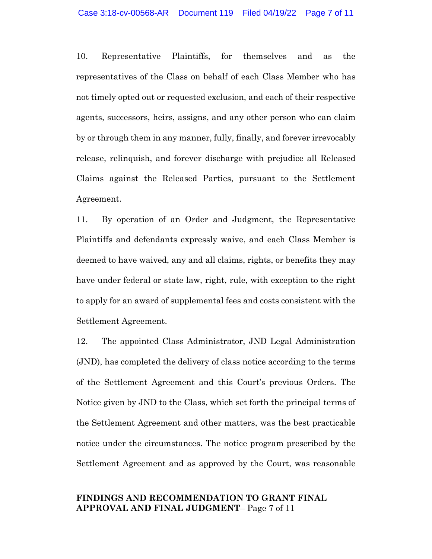10. Representative Plaintiffs, for themselves and as the representatives of the Class on behalf of each Class Member who has not timely opted out or requested exclusion, and each of their respective agents, successors, heirs, assigns, and any other person who can claim by or through them in any manner, fully, finally, and forever irrevocably release, relinquish, and forever discharge with prejudice all Released Claims against the Released Parties, pursuant to the Settlement Agreement.

11. By operation of an Order and Judgment, the Representative Plaintiffs and defendants expressly waive, and each Class Member is deemed to have waived, any and all claims, rights, or benefits they may have under federal or state law, right, rule, with exception to the right to apply for an award of supplemental fees and costs consistent with the Settlement Agreement.

12. The appointed Class Administrator, JND Legal Administration (JND), has completed the delivery of class notice according to the terms of the Settlement Agreement and this Court's previous Orders. The Notice given by JND to the Class, which set forth the principal terms of the Settlement Agreement and other matters, was the best practicable notice under the circumstances. The notice program prescribed by the Settlement Agreement and as approved by the Court, was reasonable

### **FINDINGS AND RECOMMENDATION TO GRANT FINAL APPROVAL AND FINAL JUDGMENT**– Page 7 of 11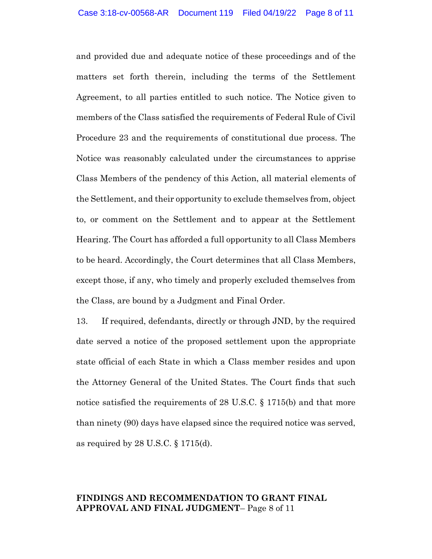and provided due and adequate notice of these proceedings and of the matters set forth therein, including the terms of the Settlement Agreement, to all parties entitled to such notice. The Notice given to members of the Class satisfied the requirements of Federal Rule of Civil Procedure 23 and the requirements of constitutional due process. The Notice was reasonably calculated under the circumstances to apprise Class Members of the pendency of this Action, all material elements of the Settlement, and their opportunity to exclude themselves from, object to, or comment on the Settlement and to appear at the Settlement Hearing. The Court has afforded a full opportunity to all Class Members to be heard. Accordingly, the Court determines that all Class Members, except those, if any, who timely and properly excluded themselves from the Class, are bound by a Judgment and Final Order.

13. If required, defendants, directly or through JND, by the required date served a notice of the proposed settlement upon the appropriate state official of each State in which a Class member resides and upon the Attorney General of the United States. The Court finds that such notice satisfied the requirements of 28 U.S.C. § 1715(b) and that more than ninety (90) days have elapsed since the required notice was served, as required by 28 U.S.C. § 1715(d).

# **FINDINGS AND RECOMMENDATION TO GRANT FINAL APPROVAL AND FINAL JUDGMENT**– Page 8 of 11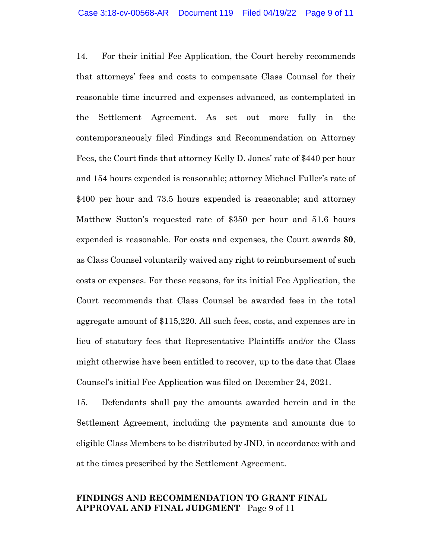14. For their initial Fee Application, the Court hereby recommends that attorneys' fees and costs to compensate Class Counsel for their reasonable time incurred and expenses advanced, as contemplated in the Settlement Agreement. As set out more fully in the contemporaneously filed Findings and Recommendation on Attorney Fees, the Court finds that attorney Kelly D. Jones' rate of \$440 per hour and 154 hours expended is reasonable; attorney Michael Fuller's rate of \$400 per hour and 73.5 hours expended is reasonable; and attorney Matthew Sutton's requested rate of \$350 per hour and 51.6 hours expended is reasonable. For costs and expenses, the Court awards **\$0**, as Class Counsel voluntarily waived any right to reimbursement of such costs or expenses. For these reasons, for its initial Fee Application, the Court recommends that Class Counsel be awarded fees in the total aggregate amount of \$115,220. All such fees, costs, and expenses are in lieu of statutory fees that Representative Plaintiffs and/or the Class might otherwise have been entitled to recover, up to the date that Class Counsel's initial Fee Application was filed on December 24, 2021.

15. Defendants shall pay the amounts awarded herein and in the Settlement Agreement, including the payments and amounts due to eligible Class Members to be distributed by JND, in accordance with and at the times prescribed by the Settlement Agreement.

### **FINDINGS AND RECOMMENDATION TO GRANT FINAL APPROVAL AND FINAL JUDGMENT**– Page 9 of 11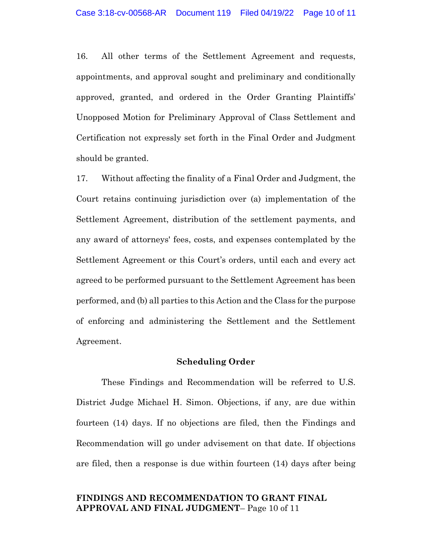16. All other terms of the Settlement Agreement and requests, appointments, and approval sought and preliminary and conditionally approved, granted, and ordered in the Order Granting Plaintiffs' Unopposed Motion for Preliminary Approval of Class Settlement and Certification not expressly set forth in the Final Order and Judgment should be granted.

17. Without affecting the finality of a Final Order and Judgment, the Court retains continuing jurisdiction over (a) implementation of the Settlement Agreement, distribution of the settlement payments, and any award of attorneys' fees, costs, and expenses contemplated by the Settlement Agreement or this Court's orders, until each and every act agreed to be performed pursuant to the Settlement Agreement has been performed, and (b) all parties to this Action and the Class for the purpose of enforcing and administering the Settlement and the Settlement Agreement.

#### **Scheduling Order**

These Findings and Recommendation will be referred to U.S. District Judge Michael H. Simon. Objections, if any, are due within fourteen (14) days. If no objections are filed, then the Findings and Recommendation will go under advisement on that date. If objections are filed, then a response is due within fourteen (14) days after being

### **FINDINGS AND RECOMMENDATION TO GRANT FINAL APPROVAL AND FINAL JUDGMENT**– Page 10 of 11